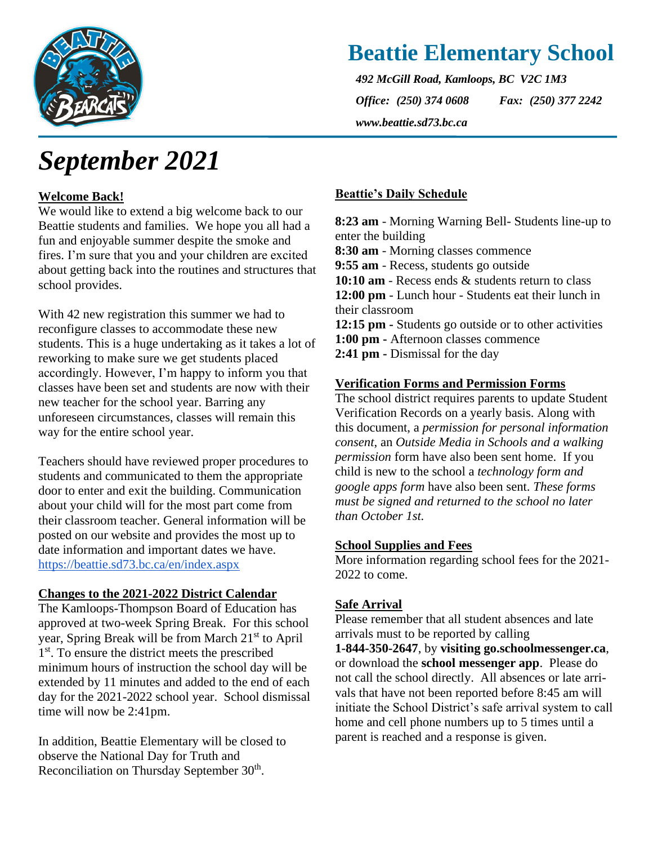

# **Beattie Elementary School**

*492 McGill Road, Kamloops, BC V2C 1M3 Office: (250) 374 0608 Fax: (250) 377 2242 www.beattie.sd73.bc.ca*

# *September 2021*

### **Welcome Back!**

We would like to extend a big welcome back to our Beattie students and families. We hope you all had a fun and enjoyable summer despite the smoke and fires. I'm sure that you and your children are excited about getting back into the routines and structures that school provides.

With 42 new registration this summer we had to reconfigure classes to accommodate these new students. This is a huge undertaking as it takes a lot of reworking to make sure we get students placed accordingly. However, I'm happy to inform you that classes have been set and students are now with their new teacher for the school year. Barring any unforeseen circumstances, classes will remain this way for the entire school year.

Teachers should have reviewed proper procedures to students and communicated to them the appropriate door to enter and exit the building. Communication about your child will for the most part come from their classroom teacher. General information will be posted on our website and provides the most up to date information and important dates we have. <https://beattie.sd73.bc.ca/en/index.aspx>

#### **Changes to the 2021-2022 District Calendar**

The Kamloops-Thompson Board of Education has approved at two-week Spring Break. For this school year, Spring Break will be from March 21<sup>st</sup> to April 1<sup>st</sup>. To ensure the district meets the prescribed minimum hours of instruction the school day will be extended by 11 minutes and added to the end of each day for the 2021-2022 school year. School dismissal time will now be 2:41pm.

In addition, Beattie Elementary will be closed to observe the National Day for Truth and Reconciliation on Thursday September 30<sup>th</sup>.

#### **Beattie's Daily Schedule**

**8:23 am** - Morning Warning Bell- Students line-up to enter the building **8:30 am** - Morning classes commence **9:55 am** - Recess, students go outside **10:10 am** - Recess ends & students return to class **12:00 pm** - Lunch hour - Students eat their lunch in their classroom **12:15 pm -** Students go outside or to other activities **1:00 pm -** Afternoon classes commence **2:41 pm -** Dismissal for the day

#### **Verification Forms and Permission Forms**

The school district requires parents to update Student Verification Records on a yearly basis. Along with this document, a *permission for personal information consent*, an *Outside Media in Schools and a walking permission* form have also been sent home. If you child is new to the school a *technology form and google apps form* have also been sent. *These forms must be signed and returned to the school no later than October 1st.*

#### **School Supplies and Fees**

More information regarding school fees for the 2021- 2022 to come.

#### **Safe Arrival**

Please remember that all student absences and late arrivals must to be reported by calling

**1-844-350-2647**, by **visiting go.schoolmessenger.ca**, or download the **school messenger app**. Please do not call the school directly. All absences or late arrivals that have not been reported before 8:45 am will initiate the School District's safe arrival system to call home and cell phone numbers up to 5 times until a parent is reached and a response is given.